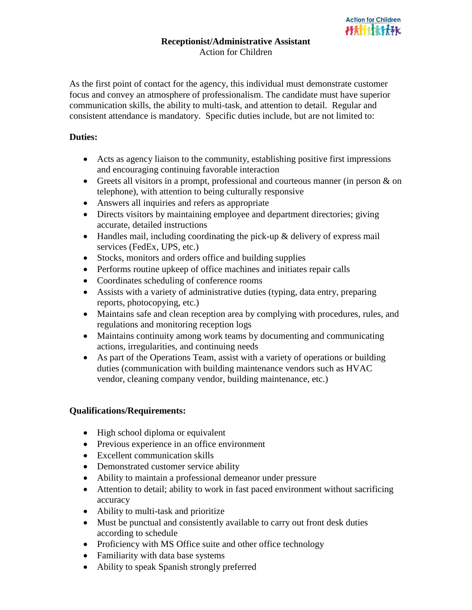As the first point of contact for the agency, this individual must demonstrate customer focus and convey an atmosphere of professionalism. The candidate must have superior communication skills, the ability to multi-task, and attention to detail. Regular and consistent attendance is mandatory. Specific duties include, but are not limited to:

## **Duties:**

- Acts as agency liaison to the community, establishing positive first impressions and encouraging continuing favorable interaction
- Greets all visitors in a prompt, professional and courteous manner (in person & on telephone), with attention to being culturally responsive
- Answers all inquiries and refers as appropriate
- Directs visitors by maintaining employee and department directories; giving accurate, detailed instructions
- Handles mail, including coordinating the pick-up & delivery of express mail services (FedEx, UPS, etc.)
- Stocks, monitors and orders office and building supplies
- Performs routine upkeep of office machines and initiates repair calls
- Coordinates scheduling of conference rooms
- Assists with a variety of administrative duties (typing, data entry, preparing reports, photocopying, etc.)
- Maintains safe and clean reception area by complying with procedures, rules, and regulations and monitoring reception logs
- Maintains continuity among work teams by documenting and communicating actions, irregularities, and continuing needs
- As part of the Operations Team, assist with a variety of operations or building duties (communication with building maintenance vendors such as HVAC vendor, cleaning company vendor, building maintenance, etc.)

## **Qualifications/Requirements:**

- High school diploma or equivalent
- Previous experience in an office environment
- Excellent communication skills
- Demonstrated customer service ability
- Ability to maintain a professional demeanor under pressure
- Attention to detail; ability to work in fast paced environment without sacrificing accuracy
- Ability to multi-task and prioritize
- Must be punctual and consistently available to carry out front desk duties according to schedule
- Proficiency with MS Office suite and other office technology
- Familiarity with data base systems
- Ability to speak Spanish strongly preferred